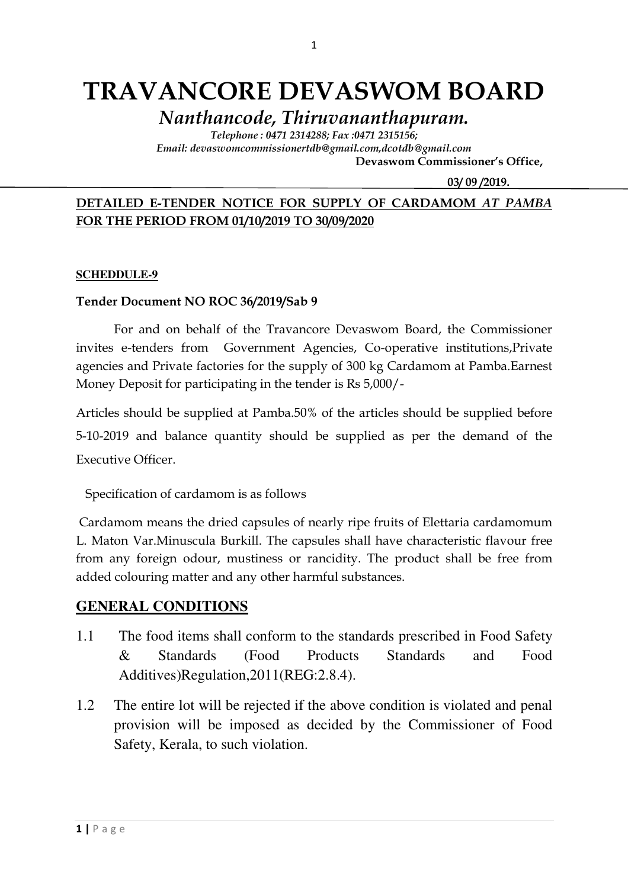# TRAVANCORE DEVASWOM BOARD

Nanthancode, Thiruvananthapuram.

Telephone : 0471 2314288; Fax :0471 2315156; Email: devaswomcommissionertdb@gmail.com,dcotdb@gmail.com

Devaswom Commissioner's Office,

03/ 09 /2019.

## DETAILED E-TENDER NOTICE FOR SUPPLY OF CARDAMOM AT PAMBA FOR THE PERIOD FROM 01/10/2019 TO 30/09/2020

#### **SCHEDDULE-9**

### Tender Document NO ROC 36/2019/Sab 9

For and on behalf of the Travancore Devaswom Board, the Commissioner invites e-tenders from Government Agencies, Co-operative institutions,Private agencies and Private factories for the supply of 300 kg Cardamom at Pamba.Earnest Money Deposit for participating in the tender is Rs 5,000/-

Articles should be supplied at Pamba.50% of the articles should be supplied before 5-10-2019 and balance quantity should be supplied as per the demand of the Executive Officer.

Specification of cardamom is as follows

 Cardamom means the dried capsules of nearly ripe fruits of Elettaria cardamomum L. Maton Var.Minuscula Burkill. The capsules shall have characteristic flavour free from any foreign odour, mustiness or rancidity. The product shall be free from added colouring matter and any other harmful substances.

## **GENERAL CONDITIONS**

- 1.1 The food items shall conform to the standards prescribed in Food Safety & Standards (Food Products Standards and Food Additives)Regulation,2011(REG:2.8.4).
- 1.2 The entire lot will be rejected if the above condition is violated and penal provision will be imposed as decided by the Commissioner of Food Safety, Kerala, to such violation.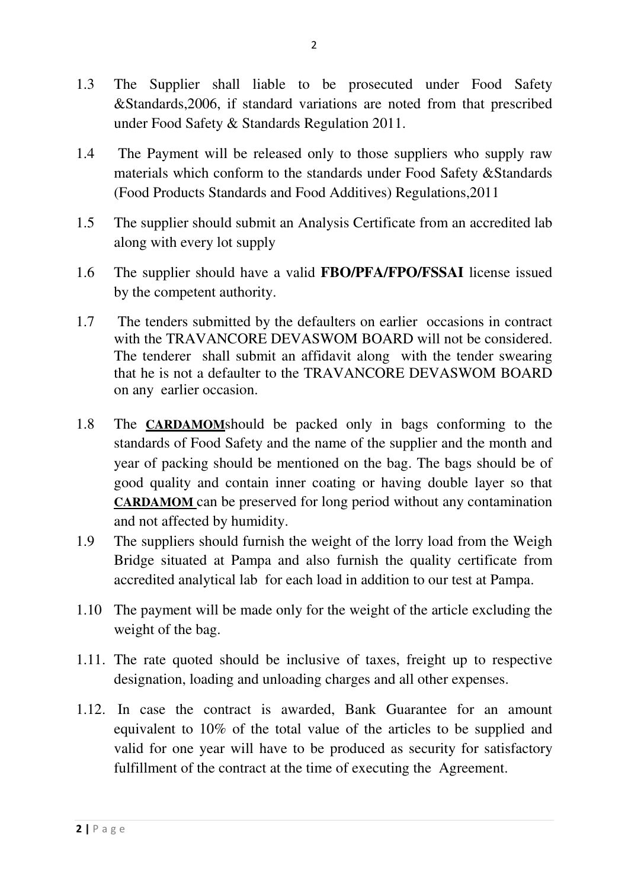- 1.3 The Supplier shall liable to be prosecuted under Food Safety &Standards,2006, if standard variations are noted from that prescribed under Food Safety & Standards Regulation 2011.
- 1.4 The Payment will be released only to those suppliers who supply raw materials which conform to the standards under Food Safety &Standards (Food Products Standards and Food Additives) Regulations,2011
- 1.5 The supplier should submit an Analysis Certificate from an accredited lab along with every lot supply
- 1.6 The supplier should have a valid **FBO/PFA/FPO/FSSAI** license issued by the competent authority.
- 1.7 The tenders submitted by the defaulters on earlier occasions in contract with the TRAVANCORE DEVASWOM BOARD will not be considered. The tenderer shall submit an affidavit along with the tender swearing that he is not a defaulter to the TRAVANCORE DEVASWOM BOARD on any earlier occasion.
- 1.8 The **CARDAMOM**should be packed only in bags conforming to the standards of Food Safety and the name of the supplier and the month and year of packing should be mentioned on the bag. The bags should be of good quality and contain inner coating or having double layer so that **CARDAMOM** can be preserved for long period without any contamination and not affected by humidity.
- 1.9 The suppliers should furnish the weight of the lorry load from the Weigh Bridge situated at Pampa and also furnish the quality certificate from accredited analytical lab for each load in addition to our test at Pampa.
- 1.10 The payment will be made only for the weight of the article excluding the weight of the bag.
- 1.11. The rate quoted should be inclusive of taxes, freight up to respective designation, loading and unloading charges and all other expenses.
- 1.12. In case the contract is awarded, Bank Guarantee for an amount equivalent to 10% of the total value of the articles to be supplied and valid for one year will have to be produced as security for satisfactory fulfillment of the contract at the time of executing the Agreement.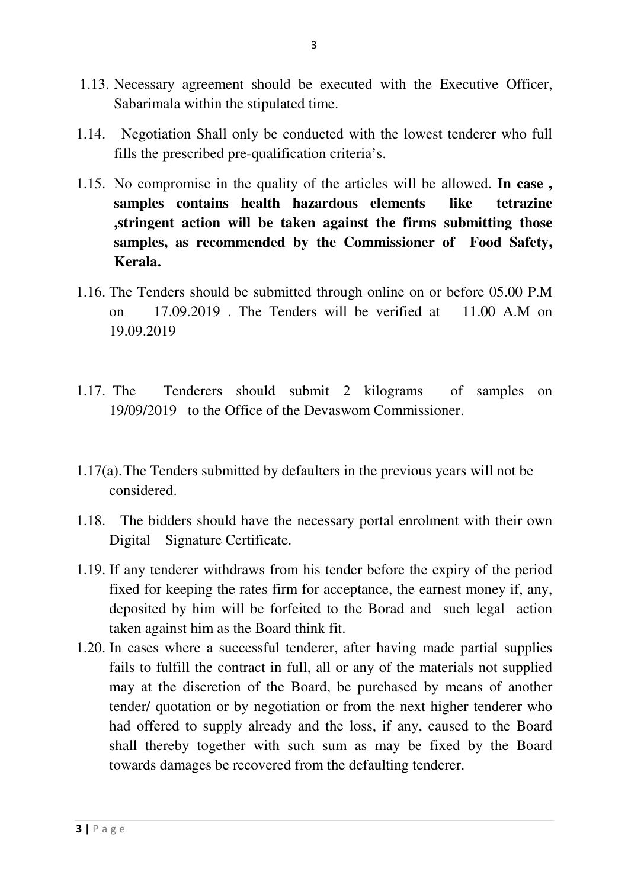- 1.13. Necessary agreement should be executed with the Executive Officer, Sabarimala within the stipulated time.
- 1.14. Negotiation Shall only be conducted with the lowest tenderer who full fills the prescribed pre-qualification criteria's.
- 1.15. No compromise in the quality of the articles will be allowed. **In case , samples contains health hazardous elements like tetrazine ,stringent action will be taken against the firms submitting those samples, as recommended by the Commissioner of Food Safety, Kerala.**
- 1.16. The Tenders should be submitted through online on or before 05.00 P.M on 17.09.2019 . The Tenders will be verified at 11.00 A.M on 19.09.2019
- 1.17. The Tenderers should submit 2 kilograms of samples on 19/09/2019 to the Office of the Devaswom Commissioner.
- 1.17(a). The Tenders submitted by defaulters in the previous years will not be considered.
- 1.18. The bidders should have the necessary portal enrolment with their own Digital Signature Certificate.
- 1.19. If any tenderer withdraws from his tender before the expiry of the period fixed for keeping the rates firm for acceptance, the earnest money if, any, deposited by him will be forfeited to the Borad and such legal action taken against him as the Board think fit.
- 1.20. In cases where a successful tenderer, after having made partial supplies fails to fulfill the contract in full, all or any of the materials not supplied may at the discretion of the Board, be purchased by means of another tender/ quotation or by negotiation or from the next higher tenderer who had offered to supply already and the loss, if any, caused to the Board shall thereby together with such sum as may be fixed by the Board towards damages be recovered from the defaulting tenderer.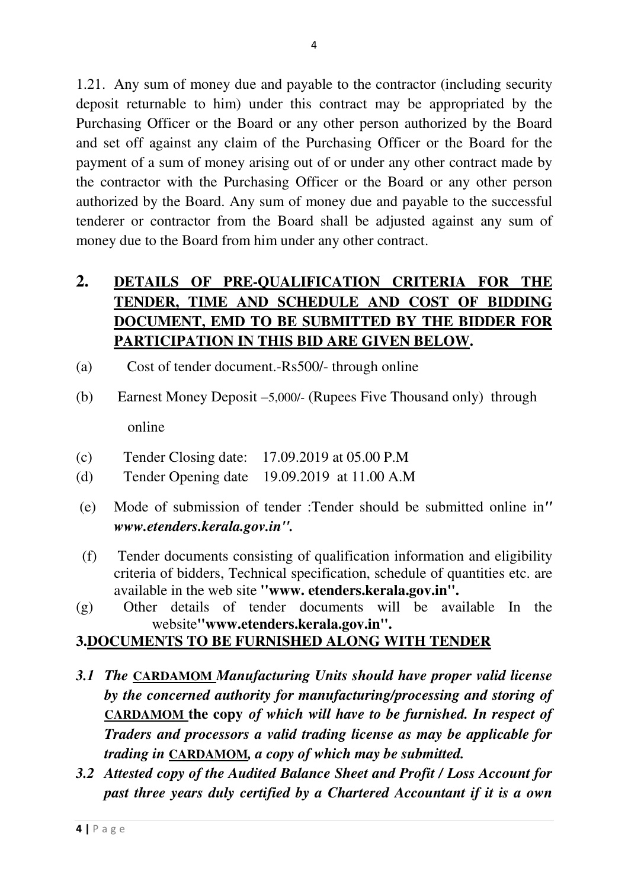1.21. Any sum of money due and payable to the contractor (including security deposit returnable to him) under this contract may be appropriated by the Purchasing Officer or the Board or any other person authorized by the Board and set off against any claim of the Purchasing Officer or the Board for the payment of a sum of money arising out of or under any other contract made by the contractor with the Purchasing Officer or the Board or any other person authorized by the Board. Any sum of money due and payable to the successful tenderer or contractor from the Board shall be adjusted against any sum of money due to the Board from him under any other contract.

# **2. DETAILS OF PRE-QUALIFICATION CRITERIA FOR THE TENDER, TIME AND SCHEDULE AND COST OF BIDDING DOCUMENT, EMD TO BE SUBMITTED BY THE BIDDER FOR PARTICIPATION IN THIS BID ARE GIVEN BELOW.**

- (a) Cost of tender document.-Rs500/- through online
- (b) Earnest Money Deposit –5,000/- (Rupees Five Thousand only) through online
- (c) Tender Closing date: 17.09.2019 at 05.00 P.M
- (d) Tender Opening date 19.09.2019 at 11.00 A.M
- (e) Mode of submission of tender :Tender should be submitted online in*'' www.etenders.kerala.gov.in''.*
- (f) Tender documents consisting of qualification information and eligibility criteria of bidders, Technical specification, schedule of quantities etc. are available in the web site **''www. etenders.kerala.gov.in''.**
- (g) Other details of tender documents will be available In the website**''www.etenders.kerala.gov.in''.**

# **3.DOCUMENTS TO BE FURNISHED ALONG WITH TENDER**

- *3.1 The* **CARDAMOM** *Manufacturing Units should have proper valid license by the concerned authority for manufacturing/processing and storing of*  **CARDAMOM the copy** *of which will have to be furnished. In respect of Traders and processors a valid trading license as may be applicable for trading in* **CARDAMOM***, a copy of which may be submitted.*
- *3.2 Attested copy of the Audited Balance Sheet and Profit / Loss Account for past three years duly certified by a Chartered Accountant if it is a own*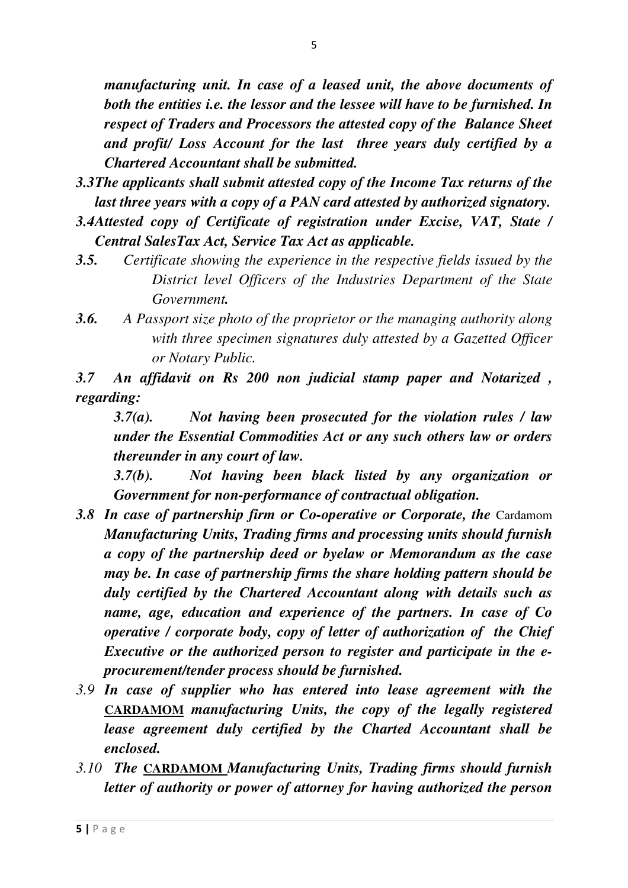*manufacturing unit. In case of a leased unit, the above documents of both the entities i.e. the lessor and the lessee will have to be furnished. In respect of Traders and Processors the attested copy of the Balance Sheet and profit/ Loss Account for the last three years duly certified by a Chartered Accountant shall be submitted.* 

- *3.3 The applicants shall submit attested copy of the Income Tax returns of the last three years with a copy of a PAN card attested by authorized signatory.*
- *3.4 Attested copy of Certificate of registration under Excise, VAT, State / Central SalesTax Act, Service Tax Act as applicable.*
- *3.5. Certificate showing the experience in the respective fields issued by the District level Officers of the Industries Department of the State Government.*
- *3.6. A Passport size photo of the proprietor or the managing authority along with three specimen signatures duly attested by a Gazetted Officer or Notary Public.*

*3.7 An affidavit on Rs 200 non judicial stamp paper and Notarized , regarding:* 

*3.7(a). Not having been prosecuted for the violation rules / law under the Essential Commodities Act or any such others law or orders thereunder in any court of law.* 

*3.7(b). Not having been black listed by any organization or Government for non-performance of contractual obligation.* 

- **3.8 In case of partnership firm or Co-operative or Corporate, the Cardamom** *Manufacturing Units, Trading firms and processing units should furnish a copy of the partnership deed or byelaw or Memorandum as the case may be. In case of partnership firms the share holding pattern should be duly certified by the Chartered Accountant along with details such as name, age, education and experience of the partners. In case of Co operative / corporate body, copy of letter of authorization of the Chief Executive or the authorized person to register and participate in the eprocurement/tender process should be furnished.*
- *3.9 In case of supplier who has entered into lease agreement with the*  **CARDAMOM** *manufacturing Units, the copy of the legally registered lease agreement duly certified by the Charted Accountant shall be enclosed.*
- *3.10 The* **CARDAMOM** *Manufacturing Units, Trading firms should furnish letter of authority or power of attorney for having authorized the person*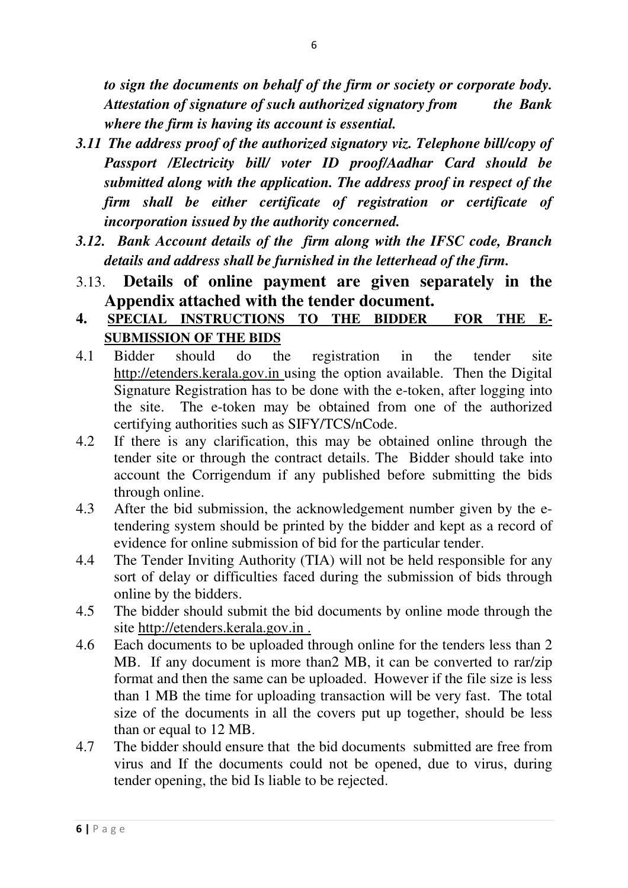*to sign the documents on behalf of the firm or society or corporate body. Attestation of signature of such authorized signatory from the Bank where the firm is having its account is essential.* 

- *3.11 The address proof of the authorized signatory viz. Telephone bill/copy of Passport /Electricity bill/ voter ID proof/Aadhar Card should be submitted along with the application. The address proof in respect of the firm shall be either certificate of registration or certificate of incorporation issued by the authority concerned.*
- *3.12. Bank Account details of the firm along with the IFSC code, Branch details and address shall be furnished in the letterhead of the firm.*
- 3.13. **Details of online payment are given separately in the Appendix attached with the tender document.**

## **4. SPECIAL INSTRUCTIONS TO THE BIDDER FOR THE E-SUBMISSION OF THE BIDS**

- 4.1 Bidder should do the registration in the tender site http://etenders.kerala.gov.in using the option available. Then the Digital Signature Registration has to be done with the e-token, after logging into the site. The e-token may be obtained from one of the authorized certifying authorities such as SIFY/TCS/nCode.
- 4.2 If there is any clarification, this may be obtained online through the tender site or through the contract details. The Bidder should take into account the Corrigendum if any published before submitting the bids through online.
- 4.3 After the bid submission, the acknowledgement number given by the etendering system should be printed by the bidder and kept as a record of evidence for online submission of bid for the particular tender.
- 4.4 The Tender Inviting Authority (TIA) will not be held responsible for any sort of delay or difficulties faced during the submission of bids through online by the bidders.
- 4.5 The bidder should submit the bid documents by online mode through the site http://etenders.kerala.gov.in .
- 4.6 Each documents to be uploaded through online for the tenders less than 2 MB. If any document is more than2 MB, it can be converted to rar/zip format and then the same can be uploaded. However if the file size is less than 1 MB the time for uploading transaction will be very fast. The total size of the documents in all the covers put up together, should be less than or equal to 12 MB.
- 4.7 The bidder should ensure that the bid documents submitted are free from virus and If the documents could not be opened, due to virus, during tender opening, the bid Is liable to be rejected.